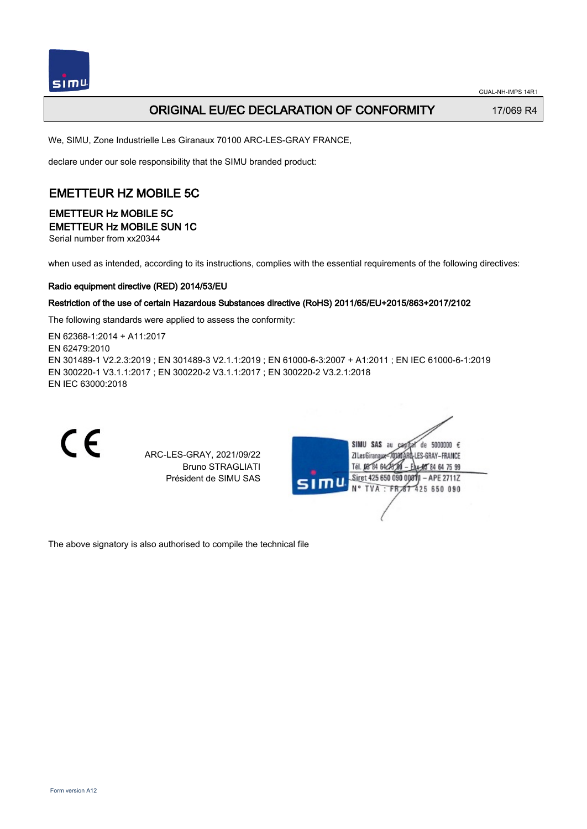

### ORIGINAL EU/EC DECLARATION OF CONFORMITY 17/069 R4

We, SIMU, Zone Industrielle Les Giranaux 70100 ARC-LES-GRAY FRANCE,

declare under our sole responsibility that the SIMU branded product:

## EMETTEUR HZ MOBILE 5C

#### EMETTEUR Hz MOBILE 5C EMETTEUR Hz MOBILE SUN 1C

Serial number from xx20344

when used as intended, according to its instructions, complies with the essential requirements of the following directives:

#### Radio equipment directive (RED) 2014/53/EU

#### Restriction of the use of certain Hazardous Substances directive (RoHS) 2011/65/EU+2015/863+2017/2102

The following standards were applied to assess the conformity:

EN 62368‑1:2014 + A11:2017 EN 62479:2010 EN 301489‑1 V2.2.3:2019 ; EN 301489‑3 V2.1.1:2019 ; EN 61000‑6‑3:2007 + A1:2011 ; EN IEC 61000‑6‑1:2019 EN 300220‑1 V3.1.1:2017 ; EN 300220‑2 V3.1.1:2017 ; EN 300220‑2 V3.2.1:2018 EN IEC 63000:2018



The above signatory is also authorised to compile the technical file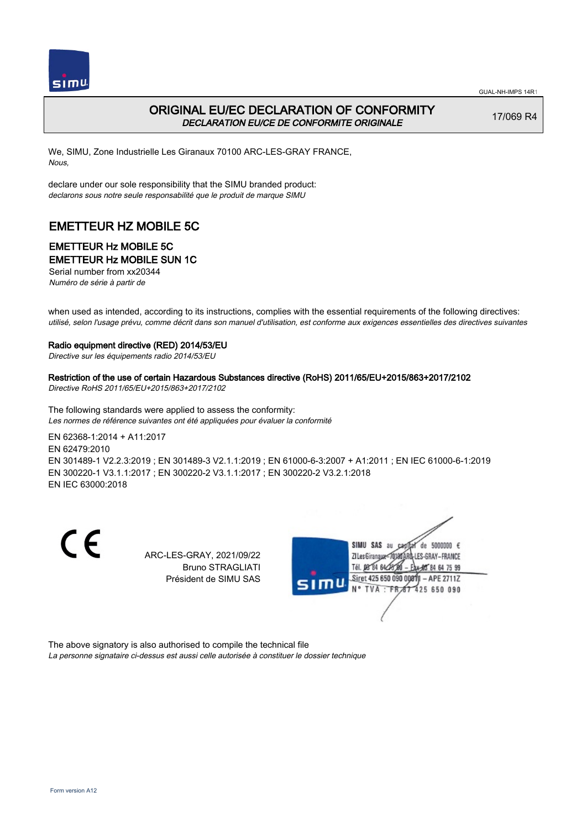



## ORIGINAL EU/EC DECLARATION OF CONFORMITY DECLARATION EU/CE DE CONFORMITE ORIGINALE

17/069 R4

We, SIMU, Zone Industrielle Les Giranaux 70100 ARC-LES-GRAY FRANCE, Nous,

declare under our sole responsibility that the SIMU branded product: declarons sous notre seule responsabilité que le produit de marque SIMU

# EMETTEUR HZ MOBILE 5C

# EMETTEUR Hz MOBILE 5C

EMETTEUR Hz MOBILE SUN 1C

Serial number from xx20344 Numéro de série à partir de

when used as intended, according to its instructions, complies with the essential requirements of the following directives: utilisé, selon l'usage prévu, comme décrit dans son manuel d'utilisation, est conforme aux exigences essentielles des directives suivantes

#### Radio equipment directive (RED) 2014/53/EU

Directive sur les équipements radio 2014/53/EU

Restriction of the use of certain Hazardous Substances directive (RoHS) 2011/65/EU+2015/863+2017/2102 Directive RoHS 2011/65/EU+2015/863+2017/2102

The following standards were applied to assess the conformity: Les normes de référence suivantes ont été appliquées pour évaluer la conformité

EN 62368‑1:2014 + A11:2017 EN 62479:2010 EN 301489‑1 V2.2.3:2019 ; EN 301489‑3 V2.1.1:2019 ; EN 61000‑6‑3:2007 + A1:2011 ; EN IEC 61000‑6‑1:2019 EN 300220‑1 V3.1.1:2017 ; EN 300220‑2 V3.1.1:2017 ; EN 300220‑2 V3.2.1:2018 EN IEC 63000:2018

 $\epsilon$ 

ARC-LES-GRAY, 2021/09/22 Bruno STRAGLIATI Président de SIMU SAS



The above signatory is also authorised to compile the technical file

La personne signataire ci-dessus est aussi celle autorisée à constituer le dossier technique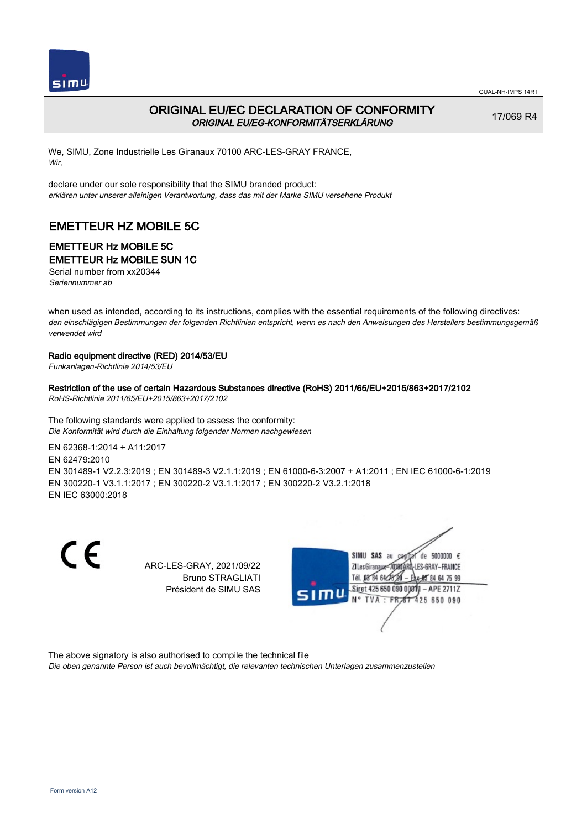



### ORIGINAL EU/EC DECLARATION OF CONFORMITY ORIGINAL EU/EG-KONFORMITÄTSERKLÄRUNG

17/069 R4

We, SIMU, Zone Industrielle Les Giranaux 70100 ARC-LES-GRAY FRANCE, Wir,

declare under our sole responsibility that the SIMU branded product: erklären unter unserer alleinigen Verantwortung, dass das mit der Marke SIMU versehene Produkt

# EMETTEUR HZ MOBILE 5C

# EMETTEUR Hz MOBILE 5C

#### EMETTEUR Hz MOBILE SUN 1C

Serial number from xx20344 Seriennummer ab

when used as intended, according to its instructions, complies with the essential requirements of the following directives: den einschlägigen Bestimmungen der folgenden Richtlinien entspricht, wenn es nach den Anweisungen des Herstellers bestimmungsgemäß verwendet wird

#### Radio equipment directive (RED) 2014/53/EU

Funkanlagen-Richtlinie 2014/53/EU

#### Restriction of the use of certain Hazardous Substances directive (RoHS) 2011/65/EU+2015/863+2017/2102

RoHS-Richtlinie 2011/65/EU+2015/863+2017/2102

The following standards were applied to assess the conformity: Die Konformität wird durch die Einhaltung folgender Normen nachgewiesen

EN 62368‑1:2014 + A11:2017 EN 62479:2010 EN 301489‑1 V2.2.3:2019 ; EN 301489‑3 V2.1.1:2019 ; EN 61000‑6‑3:2007 + A1:2011 ; EN IEC 61000‑6‑1:2019 EN 300220‑1 V3.1.1:2017 ; EN 300220‑2 V3.1.1:2017 ; EN 300220‑2 V3.2.1:2018 EN IEC 63000:2018

 $\epsilon$ 

ARC-LES-GRAY, 2021/09/22 Bruno STRAGLIATI Président de SIMU SAS



The above signatory is also authorised to compile the technical file

Die oben genannte Person ist auch bevollmächtigt, die relevanten technischen Unterlagen zusammenzustellen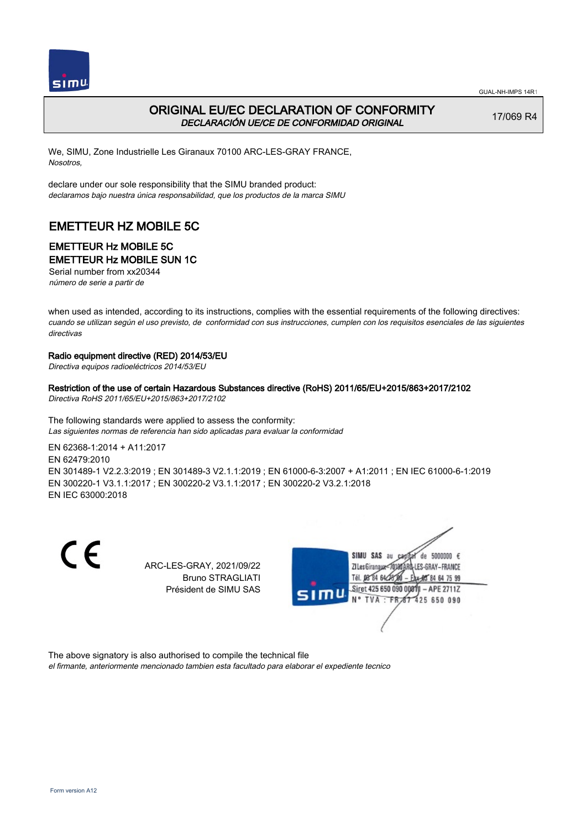



## ORIGINAL EU/EC DECLARATION OF CONFORMITY DECLARACIÓN UE/CE DE CONFORMIDAD ORIGINAL

17/069 R4

We, SIMU, Zone Industrielle Les Giranaux 70100 ARC-LES-GRAY FRANCE, Nosotros,

declare under our sole responsibility that the SIMU branded product: declaramos bajo nuestra única responsabilidad, que los productos de la marca SIMU

# EMETTEUR HZ MOBILE 5C

# EMETTEUR Hz MOBILE 5C

EMETTEUR Hz MOBILE SUN 1C

Serial number from xx20344 número de serie a partir de

when used as intended, according to its instructions, complies with the essential requirements of the following directives: cuando se utilizan según el uso previsto, de conformidad con sus instrucciones, cumplen con los requisitos esenciales de las siguientes directivas

#### Radio equipment directive (RED) 2014/53/EU

Directiva equipos radioeléctricos 2014/53/EU

#### Restriction of the use of certain Hazardous Substances directive (RoHS) 2011/65/EU+2015/863+2017/2102

Directiva RoHS 2011/65/EU+2015/863+2017/2102

The following standards were applied to assess the conformity: Las siguientes normas de referencia han sido aplicadas para evaluar la conformidad

EN 62368‑1:2014 + A11:2017 EN 62479:2010 EN 301489‑1 V2.2.3:2019 ; EN 301489‑3 V2.1.1:2019 ; EN 61000‑6‑3:2007 + A1:2011 ; EN IEC 61000‑6‑1:2019 EN 300220‑1 V3.1.1:2017 ; EN 300220‑2 V3.1.1:2017 ; EN 300220‑2 V3.2.1:2018 EN IEC 63000:2018

 $\epsilon$ 

ARC-LES-GRAY, 2021/09/22 Bruno STRAGLIATI Président de SIMU SAS



The above signatory is also authorised to compile the technical file el firmante, anteriormente mencionado tambien esta facultado para elaborar el expediente tecnico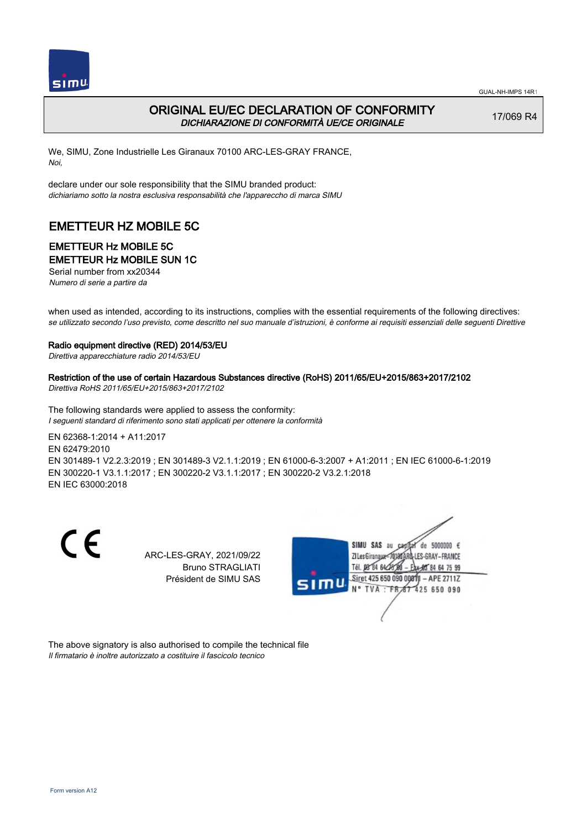



## ORIGINAL EU/EC DECLARATION OF CONFORMITY DICHIARAZIONE DI CONFORMITÀ UE/CE ORIGINALE

17/069 R4

We, SIMU, Zone Industrielle Les Giranaux 70100 ARC-LES-GRAY FRANCE, Noi,

declare under our sole responsibility that the SIMU branded product: dichiariamo sotto la nostra esclusiva responsabilità che l'appareccho di marca SIMU

# EMETTEUR HZ MOBILE 5C

# EMETTEUR Hz MOBILE 5C

EMETTEUR Hz MOBILE SUN 1C

Serial number from xx20344 Numero di serie a partire da

when used as intended, according to its instructions, complies with the essential requirements of the following directives: se utilizzato secondo l'uso previsto, come descritto nel suo manuale d'istruzioni, è conforme ai requisiti essenziali delle seguenti Direttive

#### Radio equipment directive (RED) 2014/53/EU

Direttiva apparecchiature radio 2014/53/EU

Restriction of the use of certain Hazardous Substances directive (RoHS) 2011/65/EU+2015/863+2017/2102 Direttiva RoHS 2011/65/EU+2015/863+2017/2102

The following standards were applied to assess the conformity: I seguenti standard di riferimento sono stati applicati per ottenere la conformità

EN 62368‑1:2014 + A11:2017 EN 62479:2010 EN 301489‑1 V2.2.3:2019 ; EN 301489‑3 V2.1.1:2019 ; EN 61000‑6‑3:2007 + A1:2011 ; EN IEC 61000‑6‑1:2019 EN 300220‑1 V3.1.1:2017 ; EN 300220‑2 V3.1.1:2017 ; EN 300220‑2 V3.2.1:2018 EN IEC 63000:2018

 $\epsilon$ 

ARC-LES-GRAY, 2021/09/22 Bruno STRAGLIATI Président de SIMU SAS



The above signatory is also authorised to compile the technical file Il firmatario è inoltre autorizzato a costituire il fascicolo tecnico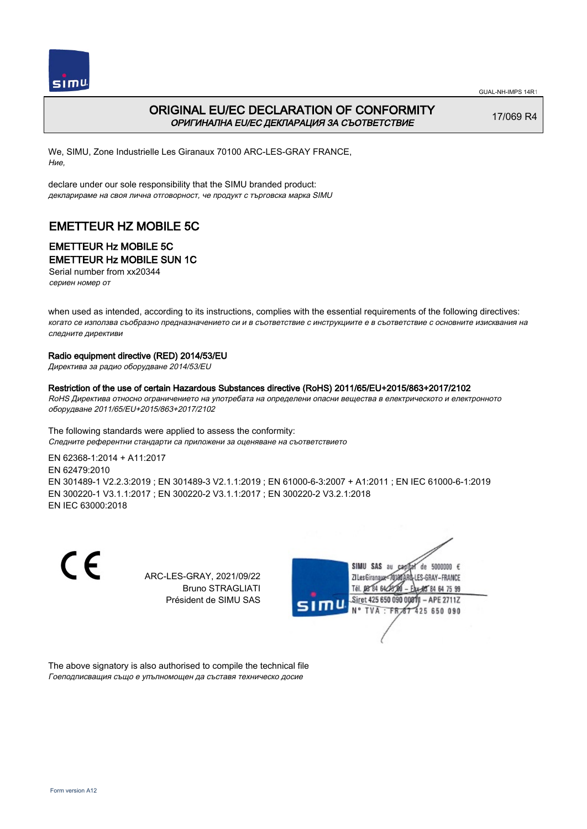



## ORIGINAL EU/EC DECLARATION OF CONFORMITY ОРИГИНАЛНА EU/EC ДЕКЛАРАЦИЯ ЗА СЪОТВЕТСТВИЕ

17/069 R4

We, SIMU, Zone Industrielle Les Giranaux 70100 ARC-LES-GRAY FRANCE, Ние,

declare under our sole responsibility that the SIMU branded product: декларираме на своя лична отговорност, че продукт с търговска марка SIMU

# EMETTEUR HZ MOBILE 5C

### EMETTEUR Hz MOBILE 5C EMETTEUR Hz MOBILE SUN 1C

Serial number from xx20344 сериен номер от

when used as intended, according to its instructions, complies with the essential requirements of the following directives: когато се използва съобразно предназначението си и в съответствие с инструкциите е в съответствие с основните изисквания на следните директиви

#### Radio equipment directive (RED) 2014/53/EU

Директива за радио оборудване 2014/53/EU

#### Restriction of the use of certain Hazardous Substances directive (RoHS) 2011/65/EU+2015/863+2017/2102

RoHS Директива относно ограничението на употребата на определени опасни вещества в електрическото и електронното оборудване 2011/65/EU+2015/863+2017/2102

The following standards were applied to assess the conformity: Следните референтни стандарти са приложени за оценяване на съответствието

EN 62368‑1:2014 + A11:2017 EN 62479:2010 EN 301489‑1 V2.2.3:2019 ; EN 301489‑3 V2.1.1:2019 ; EN 61000‑6‑3:2007 + A1:2011 ; EN IEC 61000‑6‑1:2019 EN 300220‑1 V3.1.1:2017 ; EN 300220‑2 V3.1.1:2017 ; EN 300220‑2 V3.2.1:2018 EN IEC 63000:2018

 $\epsilon$ 

ARC-LES-GRAY, 2021/09/22 Bruno STRAGLIATI Président de SIMU SAS



The above signatory is also authorised to compile the technical file Гоеподписващия също е упълномощен да съставя техническо досие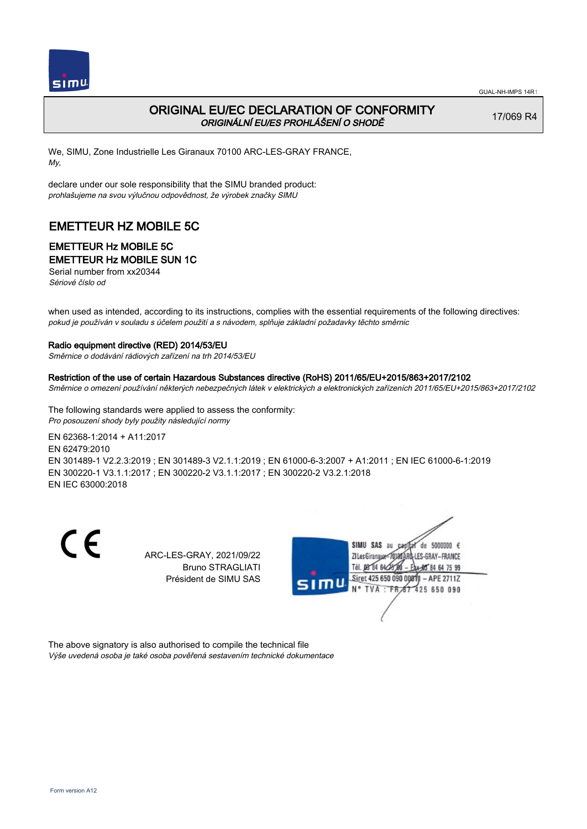

## ORIGINAL EU/EC DECLARATION OF CONFORMITY ORIGINÁLNÍ EU/ES PROHLÁŠENÍ O SHODĚ

17/069 R4

We, SIMU, Zone Industrielle Les Giranaux 70100 ARC-LES-GRAY FRANCE, My,

declare under our sole responsibility that the SIMU branded product: prohlašujeme na svou výlučnou odpovědnost, že výrobek značky SIMU

# EMETTEUR HZ MOBILE 5C

# EMETTEUR Hz MOBILE 5C

### EMETTEUR Hz MOBILE SUN 1C

Serial number from xx20344 Sériové číslo od

when used as intended, according to its instructions, complies with the essential requirements of the following directives: pokud je používán v souladu s účelem použití a s návodem, splňuje základní požadavky těchto směrnic

#### Radio equipment directive (RED) 2014/53/EU

Směrnice o dodávání rádiových zařízení na trh 2014/53/EU

#### Restriction of the use of certain Hazardous Substances directive (RoHS) 2011/65/EU+2015/863+2017/2102

Směrnice o omezení používání některých nebezpečných látek v elektrických a elektronických zařízeních 2011/65/EU+2015/863+2017/2102

The following standards were applied to assess the conformity: Pro posouzení shody byly použity následující normy

EN 62368‑1:2014 + A11:2017 EN 62479:2010 EN 301489‑1 V2.2.3:2019 ; EN 301489‑3 V2.1.1:2019 ; EN 61000‑6‑3:2007 + A1:2011 ; EN IEC 61000‑6‑1:2019 EN 300220‑1 V3.1.1:2017 ; EN 300220‑2 V3.1.1:2017 ; EN 300220‑2 V3.2.1:2018 EN IEC 63000:2018

 $\epsilon$ 

ARC-LES-GRAY, 2021/09/22 Bruno STRAGLIATI Président de SIMU SAS



The above signatory is also authorised to compile the technical file Výše uvedená osoba je také osoba pověřená sestavením technické dokumentace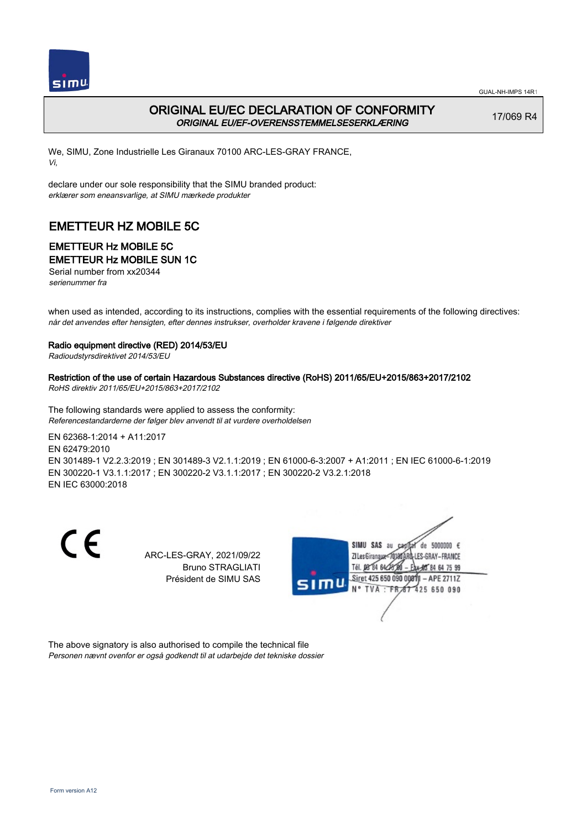



## ORIGINAL EU/EC DECLARATION OF CONFORMITY ORIGINAL EU/EF-OVERENSSTEMMELSESERKLÆRING

17/069 R4

We, SIMU, Zone Industrielle Les Giranaux 70100 ARC-LES-GRAY FRANCE, Vi,

declare under our sole responsibility that the SIMU branded product: erklærer som eneansvarlige, at SIMU mærkede produkter

# EMETTEUR HZ MOBILE 5C

# EMETTEUR Hz MOBILE 5C

EMETTEUR Hz MOBILE SUN 1C

Serial number from xx20344 serienummer fra

when used as intended, according to its instructions, complies with the essential requirements of the following directives: når det anvendes efter hensigten, efter dennes instrukser, overholder kravene i følgende direktiver

#### Radio equipment directive (RED) 2014/53/EU

Radioudstyrsdirektivet 2014/53/EU

#### Restriction of the use of certain Hazardous Substances directive (RoHS) 2011/65/EU+2015/863+2017/2102

RoHS direktiv 2011/65/EU+2015/863+2017/2102

The following standards were applied to assess the conformity: Referencestandarderne der følger blev anvendt til at vurdere overholdelsen

EN 62368‑1:2014 + A11:2017 EN 62479:2010 EN 301489‑1 V2.2.3:2019 ; EN 301489‑3 V2.1.1:2019 ; EN 61000‑6‑3:2007 + A1:2011 ; EN IEC 61000‑6‑1:2019 EN 300220‑1 V3.1.1:2017 ; EN 300220‑2 V3.1.1:2017 ; EN 300220‑2 V3.2.1:2018 EN IEC 63000:2018

 $\epsilon$ 

ARC-LES-GRAY, 2021/09/22 Bruno STRAGLIATI Président de SIMU SAS



The above signatory is also authorised to compile the technical file Personen nævnt ovenfor er også godkendt til at udarbejde det tekniske dossier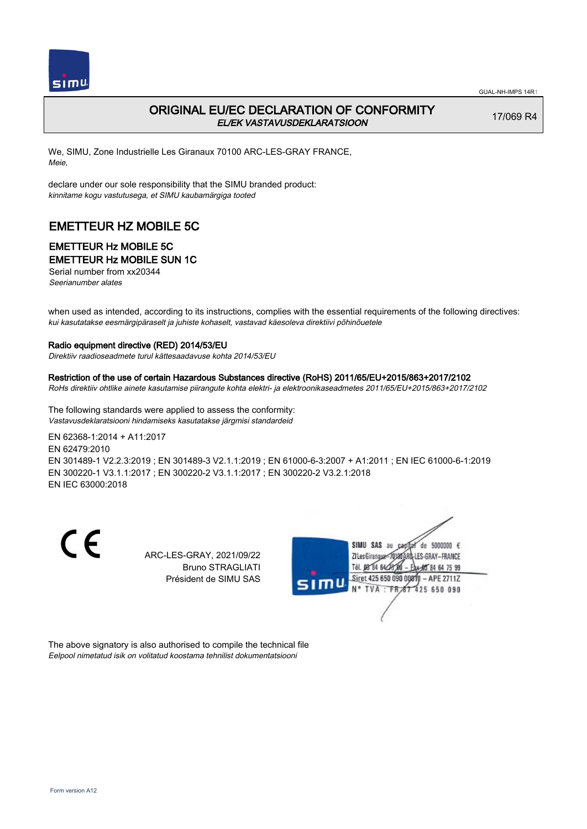

## ORIGINAL EU/EC DECLARATION OF CONFORMITY EL/EK VASTAVUSDEKLARATSIOON

17/069 R4

We, SIMU, Zone Industrielle Les Giranaux 70100 ARC-LES-GRAY FRANCE, Meie,

declare under our sole responsibility that the SIMU branded product: kinnitame kogu vastutusega, et SIMU kaubamärgiga tooted

# EMETTEUR HZ MOBILE 5C

# EMETTEUR Hz MOBILE 5C

### EMETTEUR Hz MOBILE SUN 1C

Serial number from xx20344 Seerianumber alates

when used as intended, according to its instructions, complies with the essential requirements of the following directives: kui kasutatakse eesmärgipäraselt ja juhiste kohaselt, vastavad käesoleva direktiivi põhinõuetele

#### Radio equipment directive (RED) 2014/53/EU

Direktiiv raadioseadmete turul kättesaadavuse kohta 2014/53/EU

#### Restriction of the use of certain Hazardous Substances directive (RoHS) 2011/65/EU+2015/863+2017/2102

RoHs direktiiv ohtlike ainete kasutamise piirangute kohta elektri- ja elektroonikaseadmetes 2011/65/EU+2015/863+2017/2102

The following standards were applied to assess the conformity: Vastavusdeklaratsiooni hindamiseks kasutatakse järgmisi standardeid

EN 62368‑1:2014 + A11:2017 EN 62479:2010 EN 301489‑1 V2.2.3:2019 ; EN 301489‑3 V2.1.1:2019 ; EN 61000‑6‑3:2007 + A1:2011 ; EN IEC 61000‑6‑1:2019 EN 300220‑1 V3.1.1:2017 ; EN 300220‑2 V3.1.1:2017 ; EN 300220‑2 V3.2.1:2018 EN IEC 63000:2018

 $\epsilon$ 

ARC-LES-GRAY, 2021/09/22 Bruno STRAGLIATI Président de SIMU SAS



The above signatory is also authorised to compile the technical file Eelpool nimetatud isik on volitatud koostama tehnilist dokumentatsiooni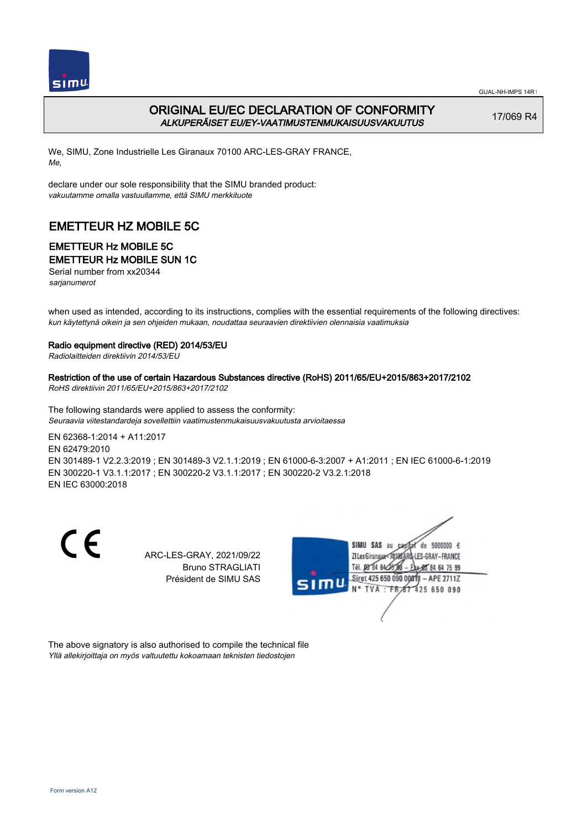



## ORIGINAL EU/EC DECLARATION OF CONFORMITY ALKUPERÄISET EU/EY-VAATIMUSTENMUKAISUUSVAKUUTUS

17/069 R4

We, SIMU, Zone Industrielle Les Giranaux 70100 ARC-LES-GRAY FRANCE, Me,

declare under our sole responsibility that the SIMU branded product: vakuutamme omalla vastuullamme, että SIMU merkkituote

## EMETTEUR HZ MOBILE 5C

# EMETTEUR Hz MOBILE 5C

EMETTEUR Hz MOBILE SUN 1C

Serial number from xx20344 sarjanumerot

when used as intended, according to its instructions, complies with the essential requirements of the following directives: kun käytettynä oikein ja sen ohjeiden mukaan, noudattaa seuraavien direktiivien olennaisia vaatimuksia

#### Radio equipment directive (RED) 2014/53/EU

Radiolaitteiden direktiivin 2014/53/EU

#### Restriction of the use of certain Hazardous Substances directive (RoHS) 2011/65/EU+2015/863+2017/2102

RoHS direktiivin 2011/65/EU+2015/863+2017/2102

The following standards were applied to assess the conformity: Seuraavia viitestandardeja sovellettiin vaatimustenmukaisuusvakuutusta arvioitaessa

EN 62368‑1:2014 + A11:2017 EN 62479:2010 EN 301489‑1 V2.2.3:2019 ; EN 301489‑3 V2.1.1:2019 ; EN 61000‑6‑3:2007 + A1:2011 ; EN IEC 61000‑6‑1:2019 EN 300220‑1 V3.1.1:2017 ; EN 300220‑2 V3.1.1:2017 ; EN 300220‑2 V3.2.1:2018 EN IEC 63000:2018

 $\epsilon$ 

ARC-LES-GRAY, 2021/09/22 Bruno STRAGLIATI Président de SIMU SAS



The above signatory is also authorised to compile the technical file Yllä allekirjoittaja on myös valtuutettu kokoamaan teknisten tiedostojen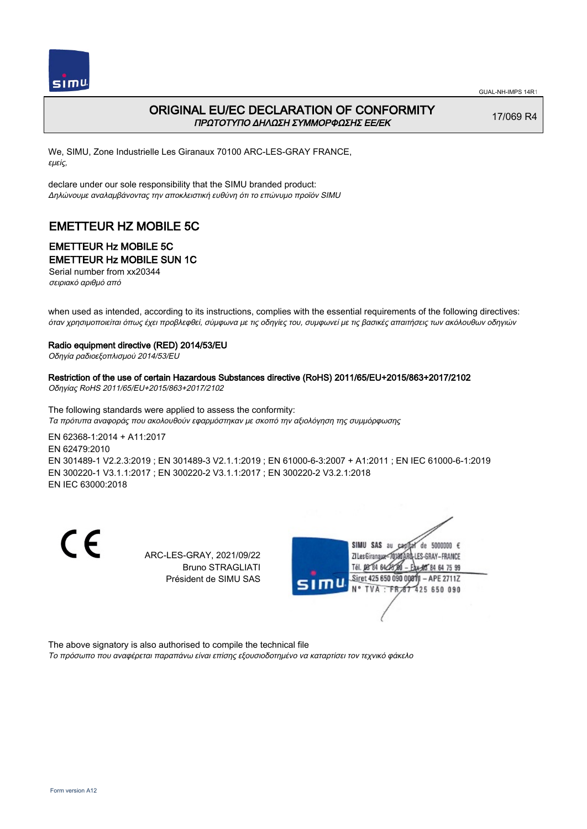



## ORIGINAL EU/EC DECLARATION OF CONFORMITY ΠΡΩΤΟΤΥΠΟ ΔΗΛΩΣΗ ΣΥΜΜΟΡΦΩΣΗΣ ΕΕ/EK

17/069 R4

We, SIMU, Zone Industrielle Les Giranaux 70100 ARC-LES-GRAY FRANCE, εμείς,

declare under our sole responsibility that the SIMU branded product: Δηλώνουμε αναλαμβάνοντας την αποκλειστική ευθύνη ότι το επώνυμο προϊόν SIMU

# EMETTEUR HZ MOBILE 5C

# EMETTEUR Hz MOBILE 5C

EMETTEUR Hz MOBILE SUN 1C

Serial number from xx20344 σειριακό αριθμό από

when used as intended, according to its instructions, complies with the essential requirements of the following directives: όταν χρησιμοποιείται όπως έχει προβλεφθεί, σύμφωνα με τις οδηγίες του, συμφωνεί με τις βασικές απαιτήσεις των ακόλουθων οδηγιών

#### Radio equipment directive (RED) 2014/53/EU

Οδηγία ραδιοεξοπλισμού 2014/53/EU

#### Restriction of the use of certain Hazardous Substances directive (RoHS) 2011/65/EU+2015/863+2017/2102

Οδηγίας RoHS 2011/65/EU+2015/863+2017/2102

The following standards were applied to assess the conformity: Τα πρότυπα αναφοράς που ακολουθούν εφαρμόστηκαν με σκοπό την αξιολόγηση της συμμόρφωσης

EN 62368‑1:2014 + A11:2017 EN 62479:2010 EN 301489‑1 V2.2.3:2019 ; EN 301489‑3 V2.1.1:2019 ; EN 61000‑6‑3:2007 + A1:2011 ; EN IEC 61000‑6‑1:2019 EN 300220‑1 V3.1.1:2017 ; EN 300220‑2 V3.1.1:2017 ; EN 300220‑2 V3.2.1:2018 EN IEC 63000:2018

 $\epsilon$ 

ARC-LES-GRAY, 2021/09/22 Bruno STRAGLIATI Président de SIMU SAS



The above signatory is also authorised to compile the technical file

Το πρόσωπο που αναφέρεται παραπάνω είναι επίσης εξουσιοδοτημένο να καταρτίσει τον τεχνικό φάκελο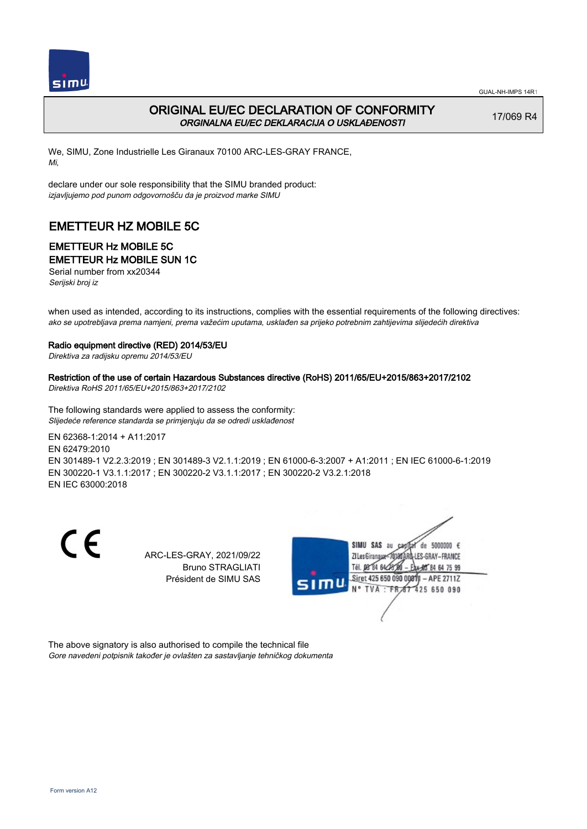

## ORIGINAL EU/EC DECLARATION OF CONFORMITY ORGINALNA EU/EC DEKLARACIJA O USKLAĐENOSTI

17/069 R4

We, SIMU, Zone Industrielle Les Giranaux 70100 ARC-LES-GRAY FRANCE, Mi,

declare under our sole responsibility that the SIMU branded product: izjavljujemo pod punom odgovornošču da je proizvod marke SIMU

# EMETTEUR HZ MOBILE 5C

# EMETTEUR Hz MOBILE 5C

EMETTEUR Hz MOBILE SUN 1C

Serial number from xx20344 Serijski broj iz

when used as intended, according to its instructions, complies with the essential requirements of the following directives: ako se upotrebljava prema namjeni, prema važećim uputama, usklađen sa prijeko potrebnim zahtijevima slijedećih direktiva

#### Radio equipment directive (RED) 2014/53/EU

Direktiva za radijsku opremu 2014/53/EU

### Restriction of the use of certain Hazardous Substances directive (RoHS) 2011/65/EU+2015/863+2017/2102

Direktiva RoHS 2011/65/EU+2015/863+2017/2102

The following standards were applied to assess the conformity: Slijedeće reference standarda se primjenjuju da se odredi usklađenost

EN 62368‑1:2014 + A11:2017 EN 62479:2010 EN 301489‑1 V2.2.3:2019 ; EN 301489‑3 V2.1.1:2019 ; EN 61000‑6‑3:2007 + A1:2011 ; EN IEC 61000‑6‑1:2019 EN 300220‑1 V3.1.1:2017 ; EN 300220‑2 V3.1.1:2017 ; EN 300220‑2 V3.2.1:2018 EN IEC 63000:2018

 $\epsilon$ 

ARC-LES-GRAY, 2021/09/22 Bruno STRAGLIATI Président de SIMU SAS



The above signatory is also authorised to compile the technical file Gore navedeni potpisnik također je ovlašten za sastavljanje tehničkog dokumenta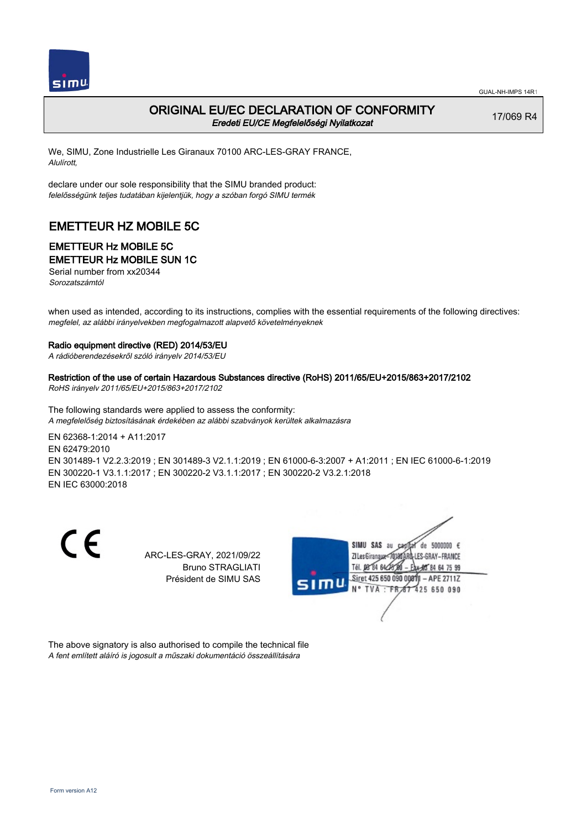

### ORIGINAL EU/EC DECLARATION OF CONFORMITY Eredeti EU/CE Megfelelőségi Nyilatkozat

17/069 R4

We, SIMU, Zone Industrielle Les Giranaux 70100 ARC-LES-GRAY FRANCE, Alulírott,

declare under our sole responsibility that the SIMU branded product: felelősségünk teljes tudatában kijelentjük, hogy a szóban forgó SIMU termék

# EMETTEUR HZ MOBILE 5C

# EMETTEUR Hz MOBILE 5C

### EMETTEUR Hz MOBILE SUN 1C

Serial number from xx20344 Sorozatszámtól

when used as intended, according to its instructions, complies with the essential requirements of the following directives: megfelel, az alábbi irányelvekben megfogalmazott alapvető követelményeknek

#### Radio equipment directive (RED) 2014/53/EU

A rádióberendezésekről szóló irányelv 2014/53/EU

Restriction of the use of certain Hazardous Substances directive (RoHS) 2011/65/EU+2015/863+2017/2102 RoHS irányelv 2011/65/EU+2015/863+2017/2102

The following standards were applied to assess the conformity: A megfelelőség biztosításának érdekében az alábbi szabványok kerültek alkalmazásra

EN 62368‑1:2014 + A11:2017 EN 62479:2010 EN 301489‑1 V2.2.3:2019 ; EN 301489‑3 V2.1.1:2019 ; EN 61000‑6‑3:2007 + A1:2011 ; EN IEC 61000‑6‑1:2019 EN 300220‑1 V3.1.1:2017 ; EN 300220‑2 V3.1.1:2017 ; EN 300220‑2 V3.2.1:2018 EN IEC 63000:2018

 $\epsilon$ 

ARC-LES-GRAY, 2021/09/22 Bruno STRAGLIATI Président de SIMU SAS



The above signatory is also authorised to compile the technical file A fent említett aláíró is jogosult a műszaki dokumentáció összeállítására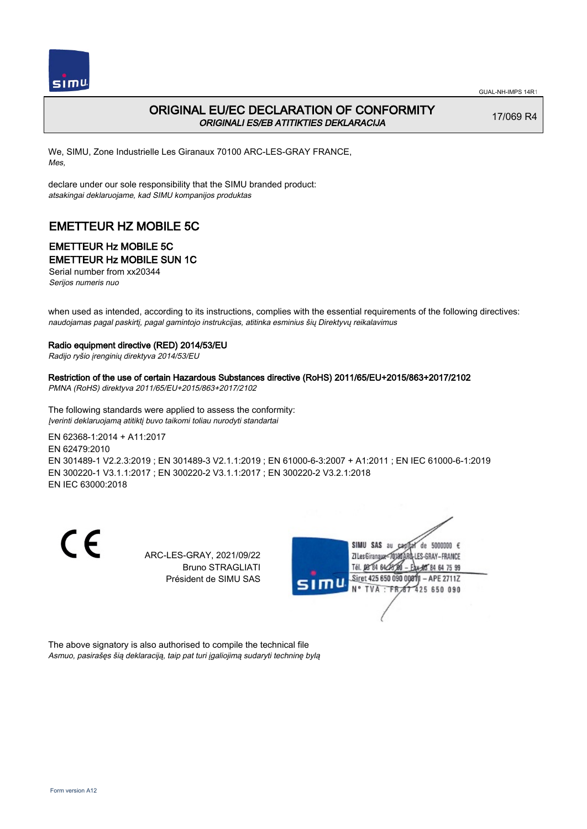

## ORIGINAL EU/EC DECLARATION OF CONFORMITY ORIGINALI ES/EB ATITIKTIES DEKLARACIJA

17/069 R4

We, SIMU, Zone Industrielle Les Giranaux 70100 ARC-LES-GRAY FRANCE, Mes,

declare under our sole responsibility that the SIMU branded product: atsakingai deklaruojame, kad SIMU kompanijos produktas

# EMETTEUR HZ MOBILE 5C

# EMETTEUR Hz MOBILE 5C

EMETTEUR Hz MOBILE SUN 1C

Serial number from xx20344 Serijos numeris nuo

when used as intended, according to its instructions, complies with the essential requirements of the following directives: naudojamas pagal paskirtį, pagal gamintojo instrukcijas, atitinka esminius šių Direktyvų reikalavimus

#### Radio equipment directive (RED) 2014/53/EU

Radijo ryšio įrenginių direktyva 2014/53/EU

#### Restriction of the use of certain Hazardous Substances directive (RoHS) 2011/65/EU+2015/863+2017/2102

PMNA (RoHS) direktyva 2011/65/EU+2015/863+2017/2102

The following standards were applied to assess the conformity: Įverinti deklaruojamą atitiktį buvo taikomi toliau nurodyti standartai

EN 62368‑1:2014 + A11:2017 EN 62479:2010 EN 301489‑1 V2.2.3:2019 ; EN 301489‑3 V2.1.1:2019 ; EN 61000‑6‑3:2007 + A1:2011 ; EN IEC 61000‑6‑1:2019 EN 300220‑1 V3.1.1:2017 ; EN 300220‑2 V3.1.1:2017 ; EN 300220‑2 V3.2.1:2018 EN IEC 63000:2018

 $\epsilon$ 

ARC-LES-GRAY, 2021/09/22 Bruno STRAGLIATI Président de SIMU SAS



The above signatory is also authorised to compile the technical file Asmuo, pasirašęs šią deklaraciją, taip pat turi įgaliojimą sudaryti techninę bylą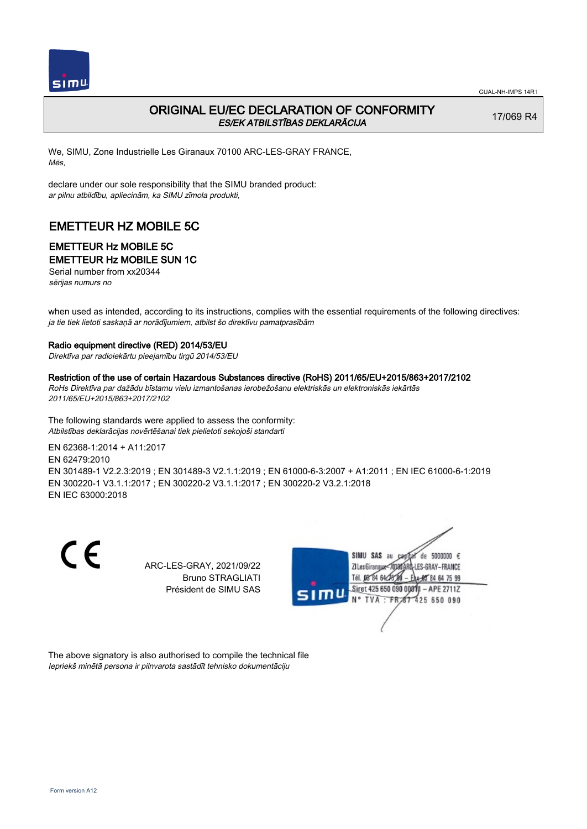

## ORIGINAL EU/EC DECLARATION OF CONFORMITY ES/EK ATBILSTĪBAS DEKLARĀCIJA

17/069 R4

We, SIMU, Zone Industrielle Les Giranaux 70100 ARC-LES-GRAY FRANCE, Mēs,

declare under our sole responsibility that the SIMU branded product: ar pilnu atbildību, apliecinām, ka SIMU zīmola produkti,

# EMETTEUR HZ MOBILE 5C

# EMETTEUR Hz MOBILE 5C

EMETTEUR Hz MOBILE SUN 1C

Serial number from xx20344 sērijas numurs no

when used as intended, according to its instructions, complies with the essential requirements of the following directives: ja tie tiek lietoti saskaņā ar norādījumiem, atbilst šo direktīvu pamatprasībām

#### Radio equipment directive (RED) 2014/53/EU

Direktīva par radioiekārtu pieejamību tirgū 2014/53/EU

### Restriction of the use of certain Hazardous Substances directive (RoHS) 2011/65/EU+2015/863+2017/2102

RoHs Direktīva par dažādu bīstamu vielu izmantošanas ierobežošanu elektriskās un elektroniskās iekārtās 2011/65/EU+2015/863+2017/2102

The following standards were applied to assess the conformity: Atbilstības deklarācijas novērtēšanai tiek pielietoti sekojoši standarti

EN 62368‑1:2014 + A11:2017 EN 62479:2010 EN 301489‑1 V2.2.3:2019 ; EN 301489‑3 V2.1.1:2019 ; EN 61000‑6‑3:2007 + A1:2011 ; EN IEC 61000‑6‑1:2019 EN 300220‑1 V3.1.1:2017 ; EN 300220‑2 V3.1.1:2017 ; EN 300220‑2 V3.2.1:2018 EN IEC 63000:2018

 $\epsilon$ 

ARC-LES-GRAY, 2021/09/22 Bruno STRAGLIATI Président de SIMU SAS



The above signatory is also authorised to compile the technical file Iepriekš minētā persona ir pilnvarota sastādīt tehnisko dokumentāciju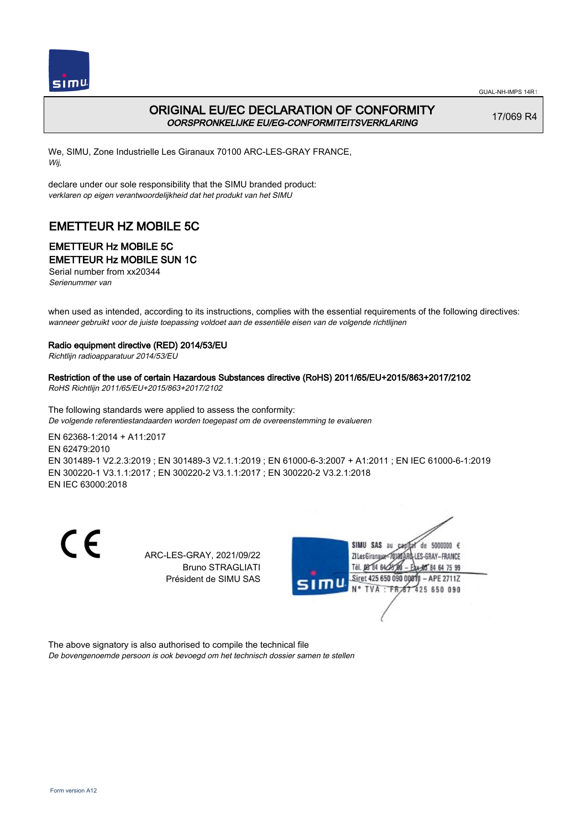

## ORIGINAL EU/EC DECLARATION OF CONFORMITY OORSPRONKELIJKE EU/EG-CONFORMITEITSVERKLARING

17/069 R4

We, SIMU, Zone Industrielle Les Giranaux 70100 ARC-LES-GRAY FRANCE, Wij,

declare under our sole responsibility that the SIMU branded product: verklaren op eigen verantwoordelijkheid dat het produkt van het SIMU

# EMETTEUR HZ MOBILE 5C

# EMETTEUR Hz MOBILE 5C

EMETTEUR Hz MOBILE SUN 1C

Serial number from xx20344 Serienummer van

when used as intended, according to its instructions, complies with the essential requirements of the following directives: wanneer gebruikt voor de juiste toepassing voldoet aan de essentiële eisen van de volgende richtlijnen

#### Radio equipment directive (RED) 2014/53/EU

Richtlijn radioapparatuur 2014/53/EU

#### Restriction of the use of certain Hazardous Substances directive (RoHS) 2011/65/EU+2015/863+2017/2102

RoHS Richtlijn 2011/65/EU+2015/863+2017/2102

The following standards were applied to assess the conformity: De volgende referentiestandaarden worden toegepast om de overeenstemming te evalueren

EN 62368‑1:2014 + A11:2017 EN 62479:2010 EN 301489‑1 V2.2.3:2019 ; EN 301489‑3 V2.1.1:2019 ; EN 61000‑6‑3:2007 + A1:2011 ; EN IEC 61000‑6‑1:2019 EN 300220‑1 V3.1.1:2017 ; EN 300220‑2 V3.1.1:2017 ; EN 300220‑2 V3.2.1:2018 EN IEC 63000:2018

 $\epsilon$ 

ARC-LES-GRAY, 2021/09/22 Bruno STRAGLIATI Président de SIMU SAS



The above signatory is also authorised to compile the technical file De bovengenoemde persoon is ook bevoegd om het technisch dossier samen te stellen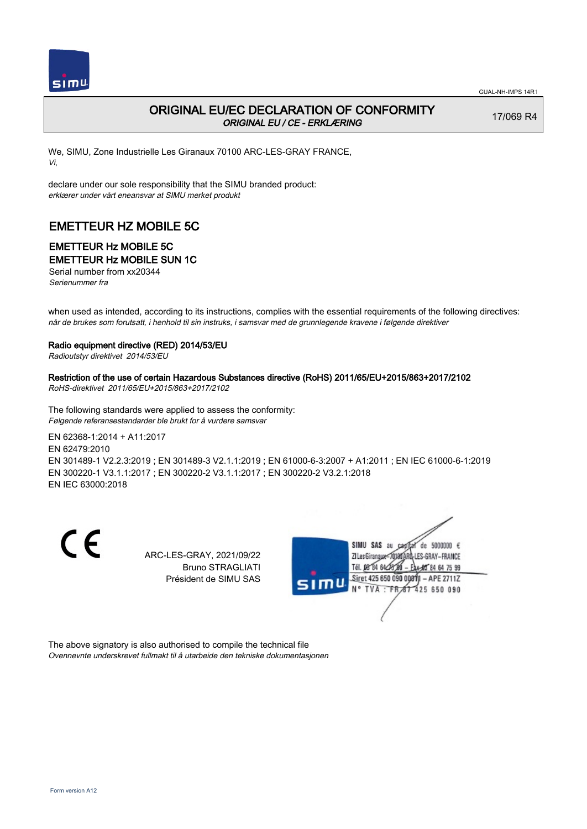

## ORIGINAL EU/EC DECLARATION OF CONFORMITY ORIGINAL EU / CE - ERKLÆRING

17/069 R4

We, SIMU, Zone Industrielle Les Giranaux 70100 ARC-LES-GRAY FRANCE, Vi,

declare under our sole responsibility that the SIMU branded product: erklærer under vårt eneansvar at SIMU merket produkt

## EMETTEUR HZ MOBILE 5C

# EMETTEUR Hz MOBILE 5C

EMETTEUR Hz MOBILE SUN 1C

Serial number from xx20344 Serienummer fra

when used as intended, according to its instructions, complies with the essential requirements of the following directives: når de brukes som forutsatt, i henhold til sin instruks, i samsvar med de grunnlegende kravene i følgende direktiver

#### Radio equipment directive (RED) 2014/53/EU

Radioutstyr direktivet 2014/53/EU

#### Restriction of the use of certain Hazardous Substances directive (RoHS) 2011/65/EU+2015/863+2017/2102

RoHS-direktivet 2011/65/EU+2015/863+2017/2102

The following standards were applied to assess the conformity: Følgende referansestandarder ble brukt for å vurdere samsvar

EN 62368‑1:2014 + A11:2017 EN 62479:2010 EN 301489‑1 V2.2.3:2019 ; EN 301489‑3 V2.1.1:2019 ; EN 61000‑6‑3:2007 + A1:2011 ; EN IEC 61000‑6‑1:2019 EN 300220‑1 V3.1.1:2017 ; EN 300220‑2 V3.1.1:2017 ; EN 300220‑2 V3.2.1:2018 EN IEC 63000:2018

 $\epsilon$ 

ARC-LES-GRAY, 2021/09/22 Bruno STRAGLIATI Président de SIMU SAS



The above signatory is also authorised to compile the technical file Ovennevnte underskrevet fullmakt til å utarbeide den tekniske dokumentasjonen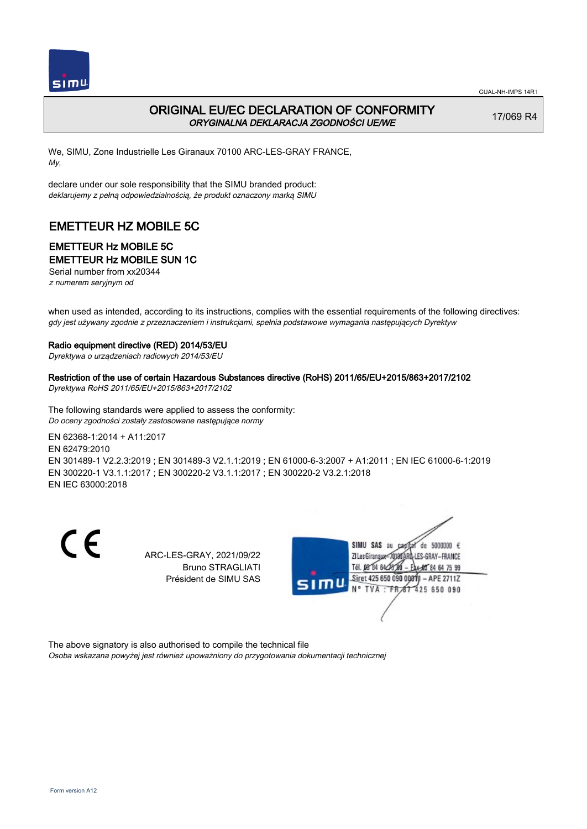



## ORIGINAL EU/EC DECLARATION OF CONFORMITY ORYGINALNA DEKLARACJA ZGODNOŚCI UE/WE

17/069 R4

We, SIMU, Zone Industrielle Les Giranaux 70100 ARC-LES-GRAY FRANCE, My,

declare under our sole responsibility that the SIMU branded product: deklarujemy z pełną odpowiedzialnością, że produkt oznaczony marką SIMU

# EMETTEUR HZ MOBILE 5C

# EMETTEUR Hz MOBILE 5C

EMETTEUR Hz MOBILE SUN 1C

Serial number from xx20344 z numerem seryjnym od

when used as intended, according to its instructions, complies with the essential requirements of the following directives: gdy jest używany zgodnie z przeznaczeniem i instrukcjami, spełnia podstawowe wymagania następujących Dyrektyw

#### Radio equipment directive (RED) 2014/53/EU

Dyrektywa o urządzeniach radiowych 2014/53/EU

### Restriction of the use of certain Hazardous Substances directive (RoHS) 2011/65/EU+2015/863+2017/2102

Dyrektywa RoHS 2011/65/EU+2015/863+2017/2102

The following standards were applied to assess the conformity: Do oceny zgodności zostały zastosowane następujące normy

EN 62368‑1:2014 + A11:2017 EN 62479:2010 EN 301489‑1 V2.2.3:2019 ; EN 301489‑3 V2.1.1:2019 ; EN 61000‑6‑3:2007 + A1:2011 ; EN IEC 61000‑6‑1:2019 EN 300220‑1 V3.1.1:2017 ; EN 300220‑2 V3.1.1:2017 ; EN 300220‑2 V3.2.1:2018 EN IEC 63000:2018

 $\epsilon$ 

ARC-LES-GRAY, 2021/09/22 Bruno STRAGLIATI Président de SIMU SAS



The above signatory is also authorised to compile the technical file Osoba wskazana powyżej jest również upoważniony do przygotowania dokumentacji technicznej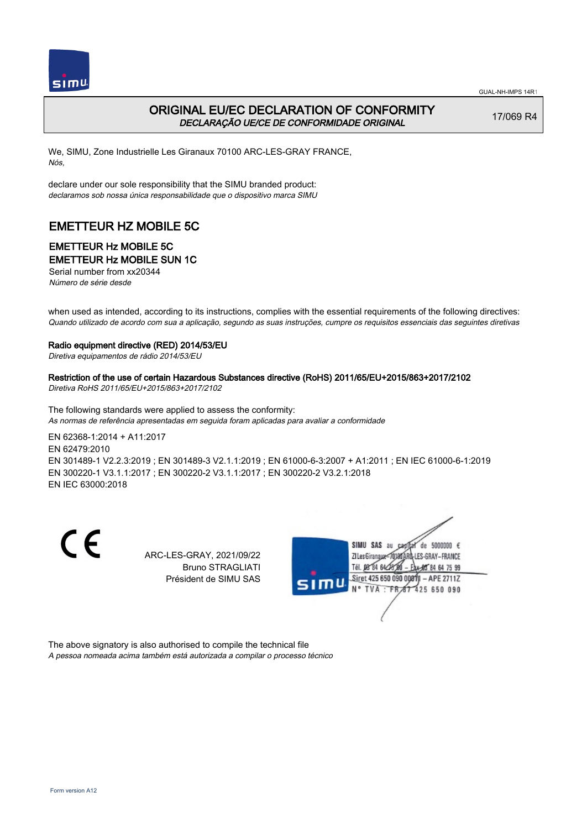



## ORIGINAL EU/EC DECLARATION OF CONFORMITY DECLARAÇÃO UE/CE DE CONFORMIDADE ORIGINAL

17/069 R4

We, SIMU, Zone Industrielle Les Giranaux 70100 ARC-LES-GRAY FRANCE, Nós,

declare under our sole responsibility that the SIMU branded product: declaramos sob nossa única responsabilidade que o dispositivo marca SIMU

# EMETTEUR HZ MOBILE 5C

# EMETTEUR Hz MOBILE 5C

EMETTEUR Hz MOBILE SUN 1C

Serial number from xx20344 Número de série desde

when used as intended, according to its instructions, complies with the essential requirements of the following directives: Quando utilizado de acordo com sua a aplicação, segundo as suas instruções, cumpre os requisitos essenciais das seguintes diretivas

#### Radio equipment directive (RED) 2014/53/EU

Diretiva equipamentos de rádio 2014/53/EU

Restriction of the use of certain Hazardous Substances directive (RoHS) 2011/65/EU+2015/863+2017/2102 Diretiva RoHS 2011/65/EU+2015/863+2017/2102

The following standards were applied to assess the conformity: As normas de referência apresentadas em seguida foram aplicadas para avaliar a conformidade

EN 62368‑1:2014 + A11:2017 EN 62479:2010 EN 301489‑1 V2.2.3:2019 ; EN 301489‑3 V2.1.1:2019 ; EN 61000‑6‑3:2007 + A1:2011 ; EN IEC 61000‑6‑1:2019 EN 300220‑1 V3.1.1:2017 ; EN 300220‑2 V3.1.1:2017 ; EN 300220‑2 V3.2.1:2018 EN IEC 63000:2018

 $\epsilon$ 

ARC-LES-GRAY, 2021/09/22 Bruno STRAGLIATI Président de SIMU SAS



The above signatory is also authorised to compile the technical file A pessoa nomeada acima também está autorizada a compilar o processo técnico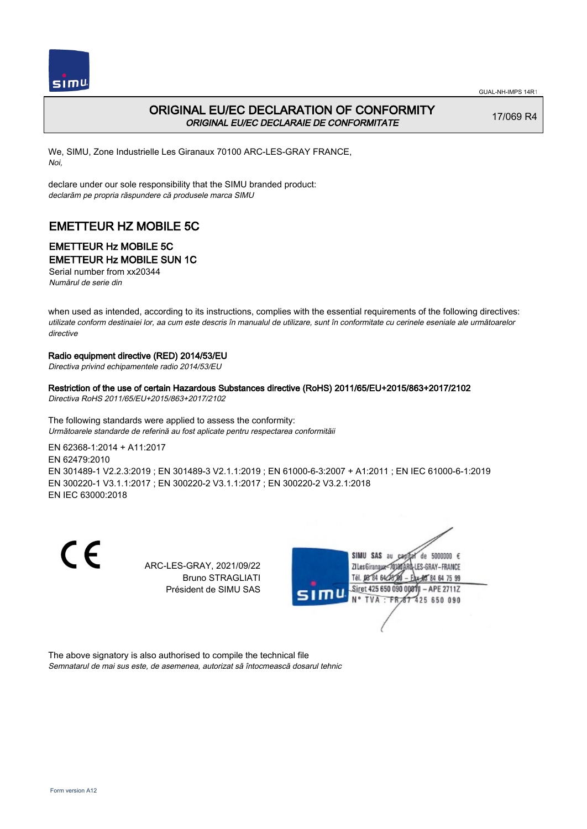

## ORIGINAL EU/EC DECLARATION OF CONFORMITY ORIGINAL EU/EC DECLARAIE DE CONFORMITATE

17/069 R4

We, SIMU, Zone Industrielle Les Giranaux 70100 ARC-LES-GRAY FRANCE, Noi,

declare under our sole responsibility that the SIMU branded product: declarăm pe propria răspundere că produsele marca SIMU

# EMETTEUR HZ MOBILE 5C

### EMETTEUR Hz MOBILE 5C EMETTEUR Hz MOBILE SUN 1C

Serial number from xx20344 Numărul de serie din

when used as intended, according to its instructions, complies with the essential requirements of the following directives: utilizate conform destinaiei lor, aa cum este descris în manualul de utilizare, sunt în conformitate cu cerinele eseniale ale următoarelor directive

#### Radio equipment directive (RED) 2014/53/EU

Directiva privind echipamentele radio 2014/53/EU

#### Restriction of the use of certain Hazardous Substances directive (RoHS) 2011/65/EU+2015/863+2017/2102

Directiva RoHS 2011/65/EU+2015/863+2017/2102

The following standards were applied to assess the conformity: Următoarele standarde de referină au fost aplicate pentru respectarea conformităii

EN 62368‑1:2014 + A11:2017 EN 62479:2010 EN 301489‑1 V2.2.3:2019 ; EN 301489‑3 V2.1.1:2019 ; EN 61000‑6‑3:2007 + A1:2011 ; EN IEC 61000‑6‑1:2019 EN 300220‑1 V3.1.1:2017 ; EN 300220‑2 V3.1.1:2017 ; EN 300220‑2 V3.2.1:2018 EN IEC 63000:2018

 $\epsilon$ 

ARC-LES-GRAY, 2021/09/22 Bruno STRAGLIATI Président de SIMU SAS



The above signatory is also authorised to compile the technical file Semnatarul de mai sus este, de asemenea, autorizat să întocmească dosarul tehnic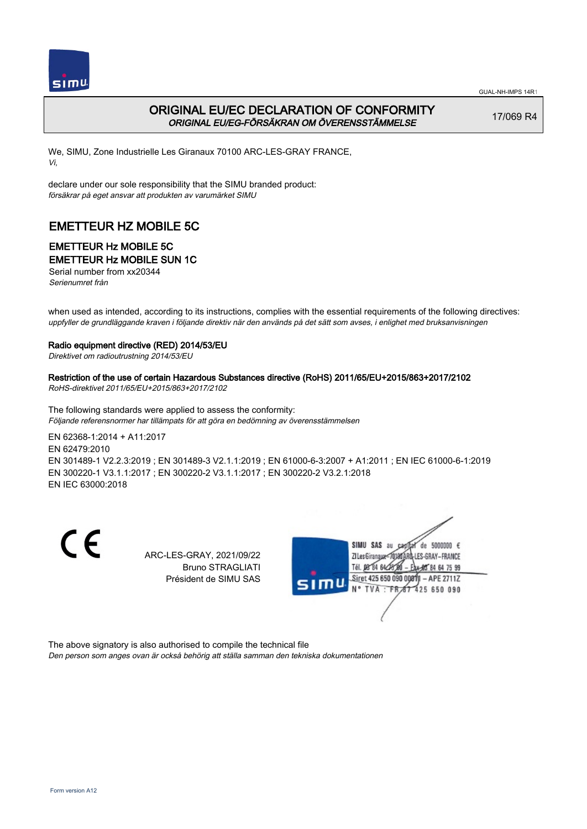

## ORIGINAL EU/EC DECLARATION OF CONFORMITY ORIGINAL EU/EG-FÖRSÄKRAN OM ÖVERENSSTÄMMELSE

17/069 R4

We, SIMU, Zone Industrielle Les Giranaux 70100 ARC-LES-GRAY FRANCE, Vi,

declare under our sole responsibility that the SIMU branded product: försäkrar på eget ansvar att produkten av varumärket SIMU

# EMETTEUR HZ MOBILE 5C

### EMETTEUR Hz MOBILE 5C EMETTEUR Hz MOBILE SUN 1C

Serial number from xx20344

Serienumret från

when used as intended, according to its instructions, complies with the essential requirements of the following directives: uppfyller de grundläggande kraven i följande direktiv när den används på det sätt som avses, i enlighet med bruksanvisningen

#### Radio equipment directive (RED) 2014/53/EU

Direktivet om radioutrustning 2014/53/EU

## Restriction of the use of certain Hazardous Substances directive (RoHS) 2011/65/EU+2015/863+2017/2102

RoHS-direktivet 2011/65/EU+2015/863+2017/2102

The following standards were applied to assess the conformity: Följande referensnormer har tillämpats för att göra en bedömning av överensstämmelsen

EN 62368‑1:2014 + A11:2017 EN 62479:2010 EN 301489‑1 V2.2.3:2019 ; EN 301489‑3 V2.1.1:2019 ; EN 61000‑6‑3:2007 + A1:2011 ; EN IEC 61000‑6‑1:2019 EN 300220‑1 V3.1.1:2017 ; EN 300220‑2 V3.1.1:2017 ; EN 300220‑2 V3.2.1:2018 EN IEC 63000:2018

 $\epsilon$ 

ARC-LES-GRAY, 2021/09/22 Bruno STRAGLIATI Président de SIMU SAS



The above signatory is also authorised to compile the technical file

Den person som anges ovan är också behörig att ställa samman den tekniska dokumentationen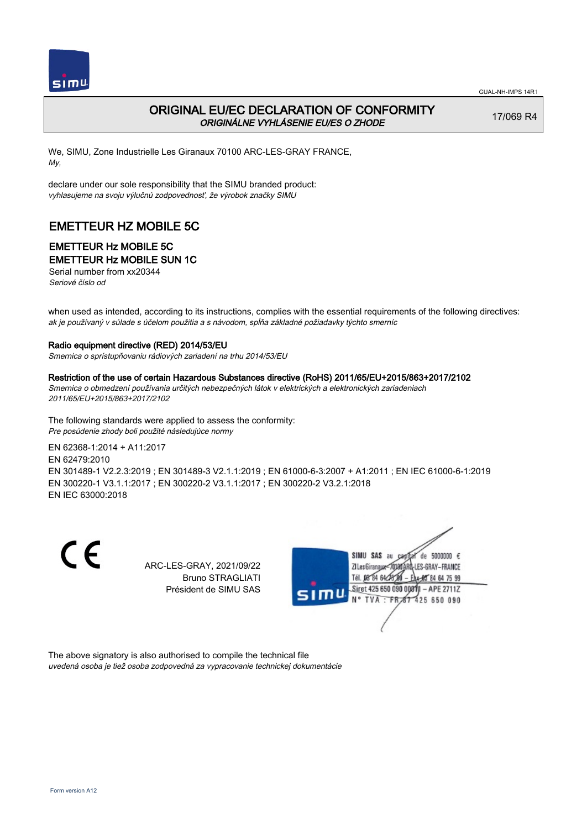

## ORIGINAL EU/EC DECLARATION OF CONFORMITY ORIGINÁLNE VYHLÁSENIE EU/ES O ZHODE

17/069 R4

We, SIMU, Zone Industrielle Les Giranaux 70100 ARC-LES-GRAY FRANCE, My,

declare under our sole responsibility that the SIMU branded product: vyhlasujeme na svoju výlučnú zodpovednosť, že výrobok značky SIMU

# EMETTEUR HZ MOBILE 5C

# EMETTEUR Hz MOBILE 5C

EMETTEUR Hz MOBILE SUN 1C

Serial number from xx20344 Seriové číslo od

when used as intended, according to its instructions, complies with the essential requirements of the following directives: ak je používaný v súlade s účelom použitia a s návodom, spĺňa základné požiadavky týchto smerníc

#### Radio equipment directive (RED) 2014/53/EU

Smernica o sprístupňovaniu rádiových zariadení na trhu 2014/53/EU

#### Restriction of the use of certain Hazardous Substances directive (RoHS) 2011/65/EU+2015/863+2017/2102

Smernica o obmedzení používania určitých nebezpečných látok v elektrických a elektronických zariadeniach 2011/65/EU+2015/863+2017/2102

The following standards were applied to assess the conformity: Pre posúdenie zhody boli použité následujúce normy

EN 62368‑1:2014 + A11:2017 EN 62479:2010 EN 301489‑1 V2.2.3:2019 ; EN 301489‑3 V2.1.1:2019 ; EN 61000‑6‑3:2007 + A1:2011 ; EN IEC 61000‑6‑1:2019 EN 300220‑1 V3.1.1:2017 ; EN 300220‑2 V3.1.1:2017 ; EN 300220‑2 V3.2.1:2018 EN IEC 63000:2018

 $\epsilon$ 

ARC-LES-GRAY, 2021/09/22 Bruno STRAGLIATI Président de SIMU SAS



The above signatory is also authorised to compile the technical file uvedená osoba je tiež osoba zodpovedná za vypracovanie technickej dokumentácie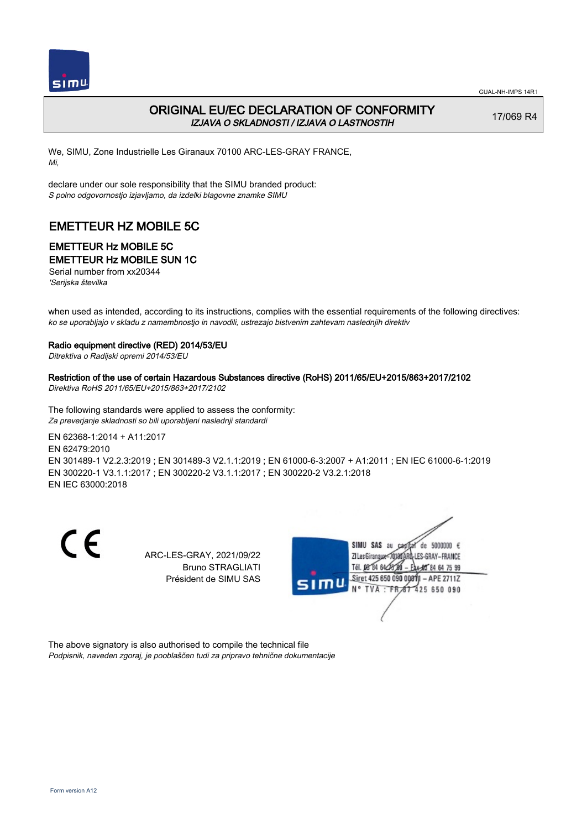

## ORIGINAL EU/EC DECLARATION OF CONFORMITY IZJAVA O SKLADNOSTI / IZJAVA O LASTNOSTIH

17/069 R4

We, SIMU, Zone Industrielle Les Giranaux 70100 ARC-LES-GRAY FRANCE, Mi,

declare under our sole responsibility that the SIMU branded product: S polno odgovornostjo izjavljamo, da izdelki blagovne znamke SIMU

# EMETTEUR HZ MOBILE 5C

# EMETTEUR Hz MOBILE 5C

EMETTEUR Hz MOBILE SUN 1C

Serial number from xx20344 'Serijska številka

when used as intended, according to its instructions, complies with the essential requirements of the following directives: ko se uporabljajo v skladu z namembnostjo in navodili, ustrezajo bistvenim zahtevam naslednjih direktiv

#### Radio equipment directive (RED) 2014/53/EU

Ditrektiva o Radijski opremi 2014/53/EU

#### Restriction of the use of certain Hazardous Substances directive (RoHS) 2011/65/EU+2015/863+2017/2102

Direktiva RoHS 2011/65/EU+2015/863+2017/2102

The following standards were applied to assess the conformity: Za preverjanje skladnosti so bili uporabljeni naslednji standardi

EN 62368‑1:2014 + A11:2017 EN 62479:2010 EN 301489‑1 V2.2.3:2019 ; EN 301489‑3 V2.1.1:2019 ; EN 61000‑6‑3:2007 + A1:2011 ; EN IEC 61000‑6‑1:2019 EN 300220‑1 V3.1.1:2017 ; EN 300220‑2 V3.1.1:2017 ; EN 300220‑2 V3.2.1:2018 EN IEC 63000:2018

 $\epsilon$ 

ARC-LES-GRAY, 2021/09/22 Bruno STRAGLIATI Président de SIMU SAS



The above signatory is also authorised to compile the technical file Podpisnik, naveden zgoraj, je pooblaščen tudi za pripravo tehnične dokumentacije